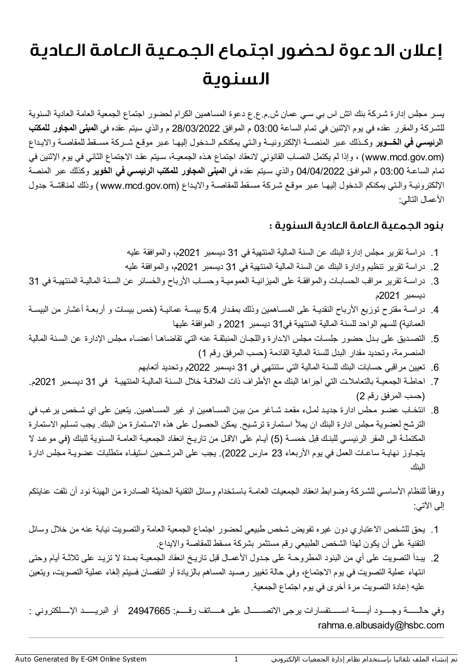## إعلان الدعوةلحضور اجتماع الجمعية العامة العادية السنوية

یسـر مجلس إدارة شـركة بنك اتش اس بي سـي عمان ش.م.ع.ع دعوة المساھمین الكرام لحضور اجتماع الجمعیة العامة العادیة السنویة للشـركة والمقرر عقده في یوم الإثنین في تمام الساعة 03:00 م الموافق 28/03/2022 م والذي سیتم عقده في **المبنى المجاور للمكتب الرئیسـي في الخـــویر** وكــذلك عـبر المنصــة الإلكترونیــة والـتي یمكنكـم الــدخول إلیھـا عـبر موقـع شــركة مســقط للمقاصـة والایـداع (om.gov.mcd.www (، وإذا لم یكتمل النصاب القانوني لانعقاد اجتماع ھـذه الجمعیـة، سـیتم عقـد الاجتماع الثاني في یوم الإثنین في تمام الساعـة 03:00 م الموافـق 04/04/2022 والذي سـیتم عقده في **المبنى المجاور للمكتب الرئیسـي في الخویر** وكذلك عبر المنصة الإلكترونیـة والـتي یمكنكم الـدخول إلیھـا عـبر موقـع شـركة مسـقط للمقاصـة والایـداع (om.gov.mcd.www (وذلك لمناقشـة جدول الأعمال التالي:

## بنود الجمعية العامة العادية السنوية :

- .1 دراسة تقریر مجلس إدارة البنك عن السنة المالیة المنتھیة في 31 دیسمبر 2021م، والموافقة علیھ
- .2 دراسة تقریر تنظیم وإدارة البنك عن السنة المالیة المنتھیة في 31 دیسمبر 2021م، والموافقة علیھ
- .3 دراسـة تقریر مراقب الحسابـات والموافقـة على المیزانیـة العمومیـة وحسـاب الأرباح والخسائر عن السـنة المالیـة المنتھیـة في 31 دیسمبر 2021م
- .4 دراسـة مقترح توزیع الأرباح النقدیـة على المسـاھمین وذلك بمقـدار 5.4 بیسـة عمانیـة (خمس بیسات و أربعـة أعشار من البیسـة العمانیة) للسھم الواحد للسنة المالیة المنتھیة في31 دیسمبر 2021 و الموافقة علیھا
- .5 التصـدیق على بـدل حضور جلسـات مجلس الاـدارة واللجـان المنبثقـة عنھ التي تقاضاھـا أعضـاء مجلس الإدارة عن السـنة المالیة المنصرمة، وتحدید مقدار البدل للسنة المالیة القادمة (حسب المرفق رقم 1)
	- .6 تعیین مراقبي حسابات البنك للسنة المالیة التي ستنتھي في 31 دیسمبر 2022م وتحدید أتعابھم
- .7 احاطـة الجمعیـة بالتعاملاـت التي أجراھا البنك مع الأطراف ذات العلاقـة خلال السـنة المالیـة المنتھیـة في 31 دیسـمبر 2021م. (حسب المرفق رقم 2)
- .8 انتخـاب عضـو محلس ادارة جدیـد لمـلء مقعـد شـاغر مـن بیـن المسـاھمین او غیر المسـاھمین. یتعین على اي شـخص یرغب في الترشح لعضویة مجلس ادارة البنك ان یملأ اسـتمارة ترشـیح. یمكن الحصول على ھذه الاسـتمارة من البنك. یجب تسـلیم الاستمارة المكتملـة الى المقر الرئیسـي للبنـك قبل خمسـة (5) أیـام على الاقـل من تاریـخ انعقاد الجمعیـة العامـة السـنویة للبنك (في موعـد لا یتجـاوز نھایـة ساعـات العمل في یوم الأربعاء 23 مارس 2022). یجب على المرشـحین استیفـاء متطلبات عضویـة مجلس ادارة البنك

ووفقاً للنظام الأساسـي للشـركـة وضـوابط انعقاد الجمعيات العامـة بـاسـتخدام وسائل التقنية الحديثـة الصـادرة من الهيئـة نود أن نلفت عنايتكم إلى الآتي:

- .1 یحق للشخص الاعتباري دون غیره تفویض شخص طبیعي لحضور اجتماع الجمعیة العامة والتصویت نیابة عنھ من خلال وسائل التقنیة على أن یكون لھذا الشخص الطبیعي رقم مستثمر بشركة مسقط للمقاصة والایداع.
- .2 یبـدأ التصویت على أي من البنود المطروحـة على جـدول الأعمـال قبل تاریـخ انعقاد الجمعیـة بمـدة لا تزیـد على ثلاثـة أیام وحتى انتھاء عملیة التصویت في یوم الاجتماع، وفي حالة تغییر رصـید المساھم بالزیادة أو النقصان فسیتم إلغاء عملیة التصویت، ویتعین علیھ إعادة التصویت مرة أخرى في یوم اجتماع الجمعیة.

وفي حالــــــة وجـــــود أیــــــة اســــــتفسارات یرجى الاتصــــــال على ھـــــاتف رقـــــم: 24947665 أو البریــــــد الإـــــلكتروني : rahma.e.albusaidy@hsbc.com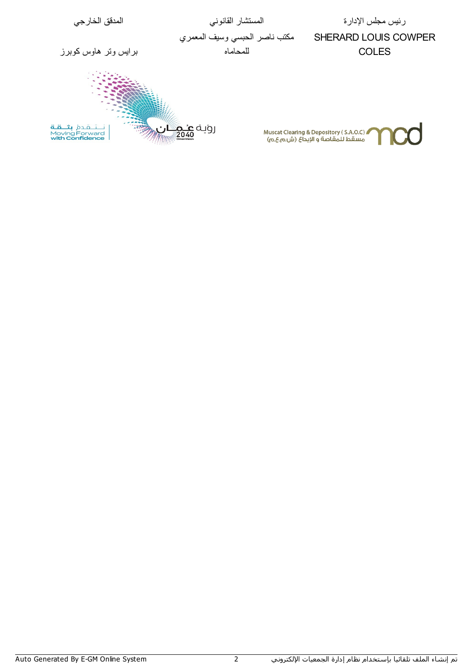رئيس مجلس الإدارة المستشار القانوني المدقق الخارجي مكتب ناصر الحبسي وسیف المعمري SHERARD LOUIS COWPER للمحاماه برایس وتر ھاوس كوبرز COLES ان<br>ا نَّـــتَــمَدهُ **بثــــقــة**<br>Moving Forward<br>**with Confidence** رویـه <mark>عنـم</mark><br>مو Muscat Clearing & Depository ( S.A.O.C)<br>مسقط للمقاصة و الإيداع (ش.م.ع.ص)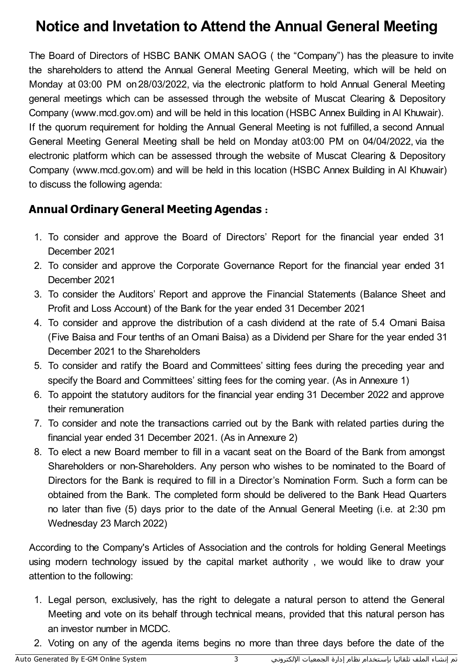## **Notice and Invetation to Attend the Annual General Meeting**

The Board of Directors of HSBC BANK OMAN SAOG ( the "Company") has the pleasure to invite the shareholders to attend the Annual General Meeting General Meeting, which will be held on Monday at 03:00 PM on28/03/2022, via the electronic platform to hold Annual General Meeting general meetings which can be assessed through the website of Muscat Clearing & Depository Company (www.mcd.gov.om) and will be held in this location (HSBC Annex Building in Al Khuwair). If the quorum requirement for holding the Annual General Meeting is not fulfilled, a second Annual General Meeting General Meeting shall be held on Monday at03:00 PM on 04/04/2022, via the electronic platform which can be assessed through the website of Muscat Clearing & Depository Company (www.mcd.gov.om) and will be held in this location (HSBC Annex Building in Al Khuwair) to discuss the following agenda:

## **Annual Ordinary General Meeting Agendas** :

- 1. To consider and approve the Board of Directors' Report for the financial year ended 31 December 2021
- 2. To consider and approve the Corporate Governance Report for the financial year ended 31 December 2021
- 3. To consider the Auditors' Report and approve the Financial Statements (Balance Sheet and Profit and Loss Account) of the Bank for the year ended 31 December 2021
- 4. To consider and approve the distribution of a cash dividend at the rate of 5.4 Omani Baisa (Five Baisa and Four tenths of an Omani Baisa) as a Dividend per Share for the year ended 31 December 2021 to the Shareholders
- 5. To consider and ratify the Board and Committees' sitting fees during the preceding year and specify the Board and Committees' sitting fees for the coming year. (As in Annexure 1)
- 6. To appoint the statutory auditors for the financial year ending 31 December 2022 and approve their remuneration
- 7. To consider and note the transactions carried out by the Bank with related parties during the financial year ended 31 December 2021. (As in Annexure 2)
- 8. To elect a new Board member to fill in a vacant seat on the Board of the Bank from amongst Shareholders or non-Shareholders. Any person who wishes to be nominated to the Board of Directors for the Bank is required to fill in a Director's Nomination Form. Such a form can be obtained from the Bank. The completed form should be delivered to the Bank Head Quarters no later than five (5) days prior to the date of the Annual General Meeting (i.e. at 2:30 pm Wednesday 23 March 2022)

According to the Company's Articles of Association and the controls for holding General Meetings using modern technology issued by the capital market authority , we would like to draw your attention to the following:

- 1. Legal person, exclusively, has the right to delegate a natural person to attend the General Meeting and vote on its behalf through technical means, provided that this natural person has an investor number in MCDC.
- 2. Voting on any of the agenda items begins no more than three days before the date of the